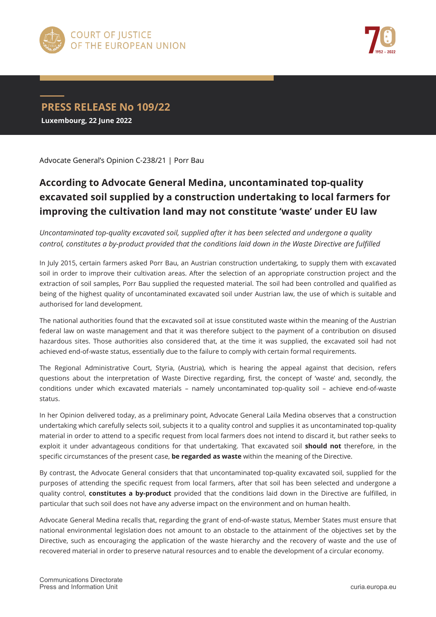



**PRESS RELEASE No 109/22 Luxembourg, 22 June 2022**

Advocate General's Opinion C-238/21 | Porr Bau

## **According to Advocate General Medina, uncontaminated top-quality excavated soil supplied by a construction undertaking to local farmers for improving the cultivation land may not constitute 'waste' under EU law**

*Uncontaminated top-quality excavated soil, supplied after it has been selected and undergone a quality control, constitutes a by-product provided that the conditions laid down in the Waste Directive are fulfilled*

In July 2015, certain farmers asked Porr Bau, an Austrian construction undertaking, to supply them with excavated soil in order to improve their cultivation areas. After the selection of an appropriate construction project and the extraction of soil samples, Porr Bau supplied the requested material. The soil had been controlled and qualified as being of the highest quality of uncontaminated excavated soil under Austrian law, the use of which is suitable and authorised for land development.

The national authorities found that the excavated soil at issue constituted waste within the meaning of the Austrian federal law on waste management and that it was therefore subject to the payment of a contribution on disused hazardous sites. Those authorities also considered that, at the time it was supplied, the excavated soil had not achieved end-of-waste status, essentially due to the failure to comply with certain formal requirements.

The Regional Administrative Court, Styria, (Austria), which is hearing the appeal against that decision, refers questions about the interpretation of Waste Directive regarding, first, the concept of 'waste' and, secondly, the conditions under which excavated materials – namely uncontaminated top-quality soil – achieve end-of-waste status.

In her Opinion delivered today, as a preliminary point, Advocate General Laila Medina observes that a construction undertaking which carefully selects soil, subjects it to a quality control and supplies it as uncontaminated top-quality material in order to attend to a specific request from local farmers does not intend to discard it, but rather seeks to exploit it under advantageous conditions for that undertaking. That excavated soil **should not** therefore, in the specific circumstances of the present case, **be regarded as waste** within the meaning of the Directive.

By contrast, the Advocate General considers that that uncontaminated top-quality excavated soil, supplied for the purposes of attending the specific request from local farmers, after that soil has been selected and undergone a quality control, **constitutes a by-product** provided that the conditions laid down in the Directive are fulfilled, in particular that such soil does not have any adverse impact on the environment and on human health.

Advocate General Medina recalls that, regarding the grant of end-of-waste status, Member States must ensure that national environmental legislation does not amount to an obstacle to the attainment of the objectives set by the Directive, such as encouraging the application of the waste hierarchy and the recovery of waste and the use of recovered material in order to preserve natural resources and to enable the development of a circular economy.